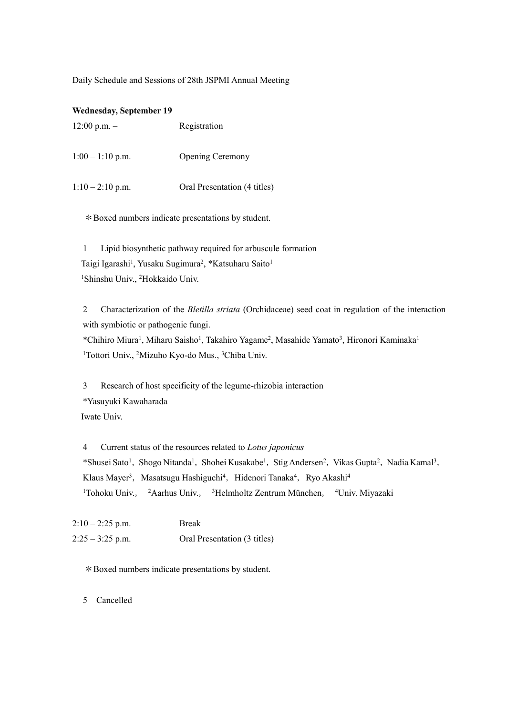Daily Schedule and Sessions of 28th JSPMI Annual Meeting

| <b>Wednesday, September 19</b> |                              |
|--------------------------------|------------------------------|
| $12:00$ p.m. $-$               | Registration                 |
| $1:00 - 1:10$ p.m.             | <b>Opening Ceremony</b>      |
| $1:10-2:10$ p.m.               | Oral Presentation (4 titles) |

\*Boxed numbers indicate presentations by student.

1 Lipid biosynthetic pathway required for arbuscule formation Taigi Igarashi<sup>1</sup>, Yusaku Sugimura<sup>2</sup>, \*Katsuharu Saito<sup>1</sup> <sup>1</sup>Shinshu Univ., <sup>2</sup>Hokkaido Univ.

2 Characterization of the *Bletilla striata* (Orchidaceae) seed coat in regulation of the interaction with symbiotic or pathogenic fungi.

\*Chihiro Miura<sup>1</sup>, Miharu Saisho<sup>1</sup>, Takahiro Yagame<sup>2</sup>, Masahide Yamato<sup>3</sup>, Hironori Kaminaka<sup>1</sup> <sup>1</sup>Tottori Univ., <sup>2</sup>Mizuho Kyo-do Mus., <sup>3</sup>Chiba Univ.

3 Research of host specificity of the legume-rhizobia interaction \*Yasuyuki Kawaharada Iwate Univ.

4 Current status of the resources related to *Lotus japonicus* \*Shusei Sato<sup>1</sup>, Shogo Nitanda<sup>1</sup>, Shohei Kusakabe<sup>1</sup>, Stig Andersen<sup>2</sup>, Vikas Gupta<sup>2</sup>, Nadia Kamal<sup>3</sup>, Klaus Mayer<sup>3</sup>, Masatsugu Hashiguchi<sup>4</sup>, Hidenori Tanaka<sup>4</sup>, Ryo Akashi<sup>4</sup> <sup>1</sup>Tohoku Univ., <sup>2</sup>Aarhus Univ., <sup>3</sup>Helmholtz Zentrum München, <sup>4</sup>Univ. Miyazaki

| $2:10-2:25$ p.m.   | <b>Break</b>                 |
|--------------------|------------------------------|
| $2:25 - 3:25$ p.m. | Oral Presentation (3 titles) |

\*Boxed numbers indicate presentations by student.

5 Cancelled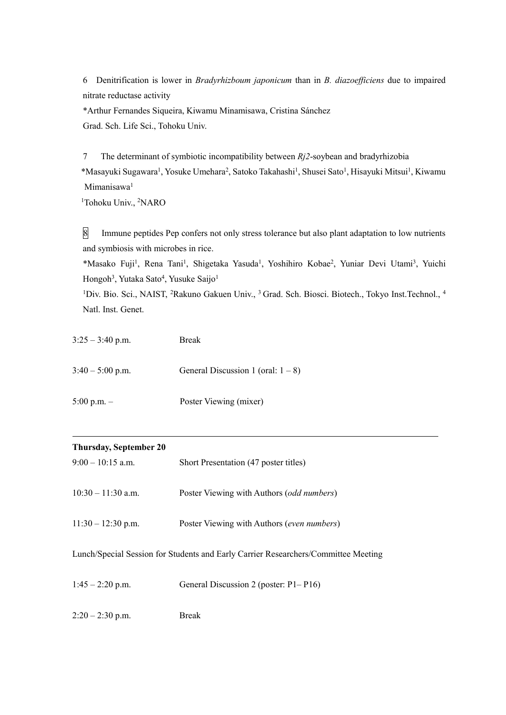6 Denitrification is lower in *Bradyrhizboum japonicum* than in *B. diazoefficiens* due to impaired nitrate reductase activity

\*Arthur Fernandes Siqueira, Kiwamu Minamisawa, Cristina Sánchez Grad. Sch. Life Sci., Tohoku Univ.

7 The determinant of symbiotic incompatibility between *Rj2*-soybean and bradyrhizobia \*Masayuki Sugawara<sup>1</sup>, Yosuke Umehara<sup>2</sup>, Satoko Takahashi<sup>1</sup>, Shusei Sato<sup>1</sup>, Hisayuki Mitsui<sup>1</sup>, Kiwamu Mimanisawa<sup>1</sup>

<sup>1</sup>Tohoku Univ., <sup>2</sup>NARO

8 Immune peptides Pep confers not only stress tolerance but also plant adaptation to low nutrients and symbiosis with microbes in rice.

\*Masako Fuji<sup>1</sup>, Rena Tani<sup>1</sup>, Shigetaka Yasuda<sup>1</sup>, Yoshihiro Kobae<sup>2</sup>, Yuniar Devi Utami<sup>3</sup>, Yuichi Hongoh<sup>3</sup>, Yutaka Sato<sup>4</sup>, Yusuke Saijo<sup>1</sup>

<sup>1</sup>Div. Bio. Sci., NAIST, <sup>2</sup>Rakuno Gakuen Univ., <sup>3</sup> Grad. Sch. Biosci. Biotech., Tokyo Inst. Technol., <sup>4</sup> Natl. Inst. Genet.

| $3:25 - 3:40$ p.m. | <b>Break</b>                          |
|--------------------|---------------------------------------|
| $3:40 - 5:00$ p.m. | General Discussion 1 (oral: $1 - 8$ ) |
| 5:00 p.m. $-$      | Poster Viewing (mixer)                |

| <b>Thursday, September 20</b>                                                      |                                            |
|------------------------------------------------------------------------------------|--------------------------------------------|
| $9:00-10:15$ a.m.                                                                  | Short Presentation (47 poster titles)      |
| $10:30 - 11:30$ a.m.                                                               | Poster Viewing with Authors (odd numbers)  |
| $11:30 - 12:30$ p.m.                                                               | Poster Viewing with Authors (even numbers) |
| Lunch/Special Session for Students and Early Carrier Researchers/Committee Meeting |                                            |
| $1:45 - 2:20$ p.m.                                                                 | General Discussion 2 (poster: P1–P16)      |

2:20 – 2:30 p.m. Break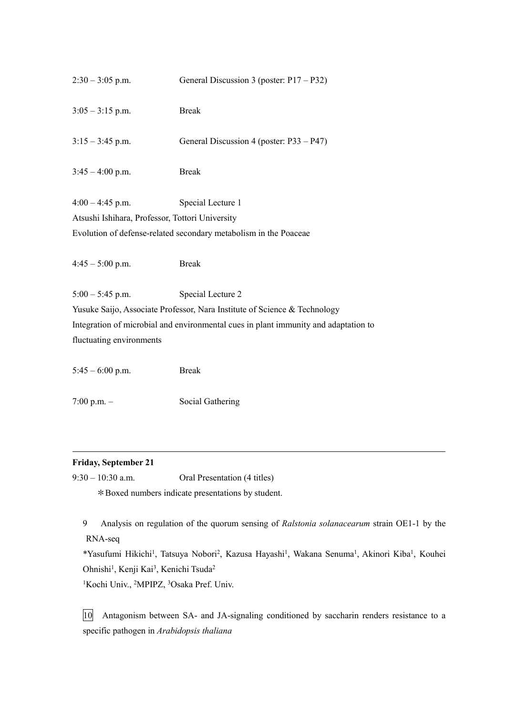| $2:30 - 3:05$ p.m.                              | General Discussion 3 (poster: $P17 - P32$ )                                         |
|-------------------------------------------------|-------------------------------------------------------------------------------------|
| $3:05 - 3:15$ p.m.                              | <b>Break</b>                                                                        |
| $3:15 - 3:45$ p.m.                              | General Discussion 4 (poster: P33 – P47)                                            |
| $3:45 - 4:00$ p.m.                              | <b>Break</b>                                                                        |
| $4:00 - 4:45$ p.m.                              | Special Lecture 1                                                                   |
| Atsushi Ishihara, Professor, Tottori University |                                                                                     |
|                                                 | Evolution of defense-related secondary metabolism in the Poaceae                    |
| $4:45 - 5:00$ p.m.                              | <b>Break</b>                                                                        |
| $5:00 - 5:45$ p.m.                              | Special Lecture 2                                                                   |
|                                                 | Yusuke Saijo, Associate Professor, Nara Institute of Science & Technology           |
|                                                 | Integration of microbial and environmental cues in plant immunity and adaptation to |
| fluctuating environments                        |                                                                                     |
| $5:45 - 6:00$ p.m.                              | <b>Break</b>                                                                        |

7:00 p.m. – Social Gathering

## **Friday, September 21**

9:30 – 10:30 a.m. Oral Presentation (4 titles) \*Boxed numbers indicate presentations by student.

9 Analysis on regulation of the quorum sensing of *Ralstonia solanacearum* strain OE1-1 by the RNA-seq

\*Yasufumi Hikichi<sup>1</sup>, Tatsuya Nobori<sup>2</sup>, Kazusa Hayashi<sup>1</sup>, Wakana Senuma<sup>1</sup>, Akinori Kiba<sup>1</sup>, Kouhei Ohnishi<sup>1</sup>, Kenji Kai<sup>3</sup>, Kenichi Tsuda<sup>2</sup>

<sup>1</sup>Kochi Univ., <sup>2</sup>MPIPZ, <sup>3</sup>Osaka Pref. Univ.

10 Antagonism between SA- and JA-signaling conditioned by saccharin renders resistance to a specific pathogen in *Arabidopsis thaliana*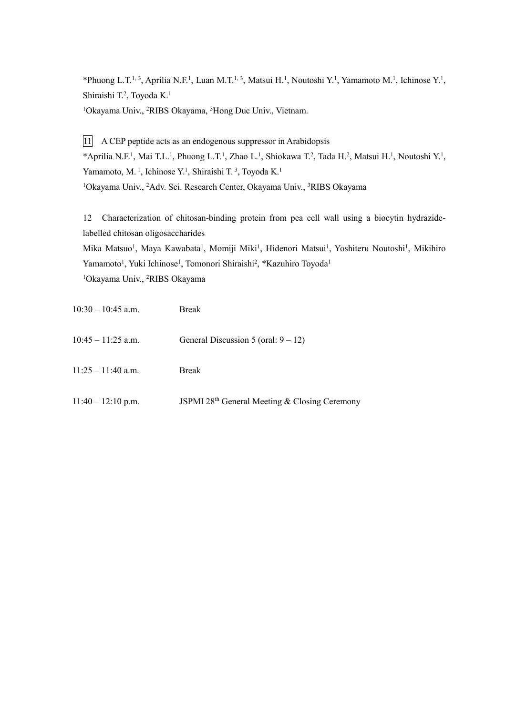\*Phuong L.T.<sup>1, 3</sup>, Aprilia N.F.<sup>1</sup>, Luan M.T.<sup>1, 3</sup>, Matsui H.<sup>1</sup>, Noutoshi Y.<sup>1</sup>, Yamamoto M.<sup>1</sup>, Ichinose Y.<sup>1</sup>, Shiraishi T.<sup>2</sup>, Toyoda K.<sup>1</sup>

<sup>1</sup>Okayama Univ., <sup>2</sup>RIBS Okayama, <sup>3</sup>Hong Duc Univ., Vietnam.

11 A CEP peptide acts as an endogenous suppressor in Arabidopsis \*Aprilia N.F.<sup>1</sup>, Mai T.L.<sup>1</sup>, Phuong L.T.<sup>1</sup>, Zhao L.<sup>1</sup>, Shiokawa T.<sup>2</sup>, Tada H.<sup>2</sup>, Matsui H.<sup>1</sup>, Noutoshi Y.<sup>1</sup>, Yamamoto, M.<sup>1</sup>, Ichinose Y.<sup>1</sup>, Shiraishi T.<sup>3</sup>, Toyoda K.<sup>1</sup> <sup>1</sup>Okayama Univ., <sup>2</sup>Adv. Sci. Research Center, Okayama Univ., <sup>3</sup>RIBS Okayama

12 Characterization of chitosan-binding protein from pea cell wall using a biocytin hydrazidelabelled chitosan oligosaccharides

Mika Matsuo<sup>1</sup>, Maya Kawabata<sup>1</sup>, Momiji Miki<sup>1</sup>, Hidenori Matsui<sup>1</sup>, Yoshiteru Noutoshi<sup>1</sup>, Mikihiro Yamamoto<sup>1</sup>, Yuki Ichinose<sup>1</sup>, Tomonori Shiraishi<sup>2</sup>, \*Kazuhiro Toyoda<sup>1</sup> <sup>1</sup>Okayama Univ., <sup>2</sup>RIBS Okayama

| $10:30 - 10:45$ a.m. | <b>Break</b>                                  |
|----------------------|-----------------------------------------------|
| $10:45 - 11:25$ a.m. | General Discussion 5 (oral: $9 - 12$ )        |
| $11:25 - 11:40$ a.m. | <b>Break</b>                                  |
| $11:40 - 12:10$ p.m. | JSPMI 28th General Meeting & Closing Ceremony |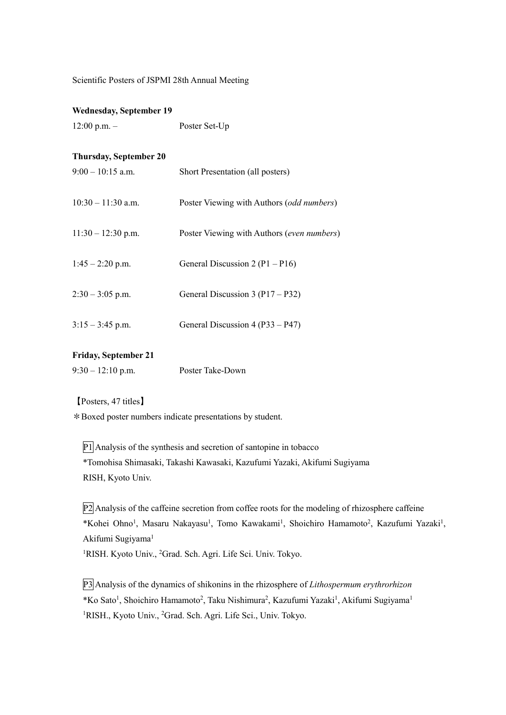Scientific Posters of JSPMI 28th Annual Meeting

## **Wednesday, September 19**

12:00 p.m. – Poster Set-Up

## **Thursday, September 20**

| $9:00 - 10:15$ a.m.  | Short Presentation (all posters)           |
|----------------------|--------------------------------------------|
| $10:30 - 11:30$ a.m. | Poster Viewing with Authors (odd numbers)  |
| $11:30 - 12:30$ p.m. | Poster Viewing with Authors (even numbers) |
| $1:45 - 2:20$ p.m.   | General Discussion 2 ( $P1 - P16$ )        |
| $2:30 - 3:05$ p.m.   | General Discussion 3 (P17 – P32)           |
| $3:15 - 3:45$ p.m.   | General Discussion 4 (P33 – P47)           |

## **Friday, September 21**

| $9:30 - 12:10$ p.m. | Poster Take-Down |
|---------------------|------------------|
|---------------------|------------------|

【Posters, 47 titles】

\*Boxed poster numbers indicate presentations by student.

P1 Analysis of the synthesis and secretion of santopine in tobacco \*Tomohisa Shimasaki, Takashi Kawasaki, Kazufumi Yazaki, Akifumi Sugiyama RISH, Kyoto Univ.

P2 Analysis of the caffeine secretion from coffee roots for the modeling of rhizosphere caffeine \*Kohei Ohno<sup>1</sup>, Masaru Nakayasu<sup>1</sup>, Tomo Kawakami<sup>1</sup>, Shoichiro Hamamoto<sup>2</sup>, Kazufumi Yazaki<sup>1</sup>, Akifumi Sugiyama<sup>1</sup> <sup>1</sup>RISH. Kyoto Univ., <sup>2</sup>Grad. Sch. Agri. Life Sci. Univ. Tokyo.

P3 Analysis of the dynamics of shikonins in the rhizosphere of *Lithospermum erythrorhizon* \*Ko Sato<sup>1</sup>, Shoichiro Hamamoto<sup>2</sup>, Taku Nishimura<sup>2</sup>, Kazufumi Yazaki<sup>1</sup>, Akifumi Sugiyama<sup>1</sup> <sup>1</sup>RISH., Kyoto Univ., <sup>2</sup>Grad. Sch. Agri. Life Sci., Univ. Tokyo.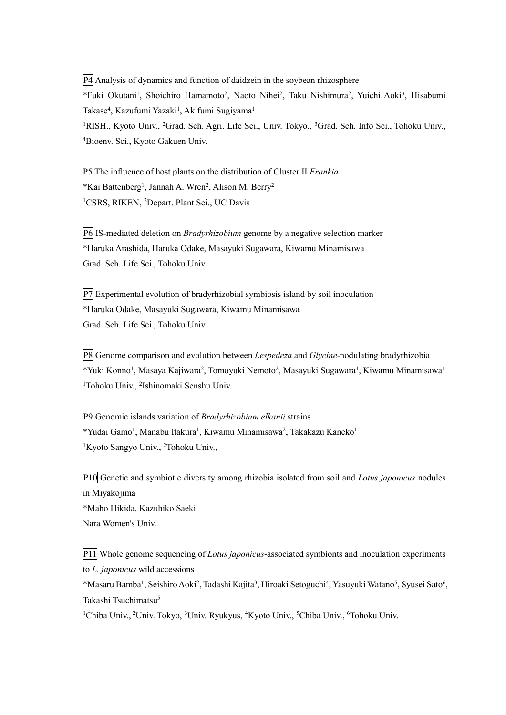P4 Analysis of dynamics and function of daidzein in the soybean rhizosphere \*Fuki Okutani<sup>1</sup>, Shoichiro Hamamoto<sup>2</sup>, Naoto Nihei<sup>2</sup>, Taku Nishimura<sup>2</sup>, Yuichi Aoki<sup>3</sup>, Hisabumi Takase<sup>4</sup>, Kazufumi Yazaki<sup>1</sup>, Akifumi Sugiyama<sup>1</sup> <sup>1</sup>RISH., Kyoto Univ., <sup>2</sup>Grad. Sch. Agri. Life Sci., Univ. Tokyo., <sup>3</sup>Grad. Sch. Info Sci., Tohoku Univ., <sup>4</sup>Bioenv. Sci., Kyoto Gakuen Univ.

P5 The influence of host plants on the distribution of Cluster II *Frankia* \*Kai Battenberg<sup>1</sup>, Jannah A. Wren<sup>2</sup>, Alison M. Berry<sup>2</sup> <sup>1</sup>CSRS, RIKEN, <sup>2</sup>Depart. Plant Sci., UC Davis

P6 IS-mediated deletion on *Bradyrhizobium* genome by a negative selection marker \*Haruka Arashida, Haruka Odake, Masayuki Sugawara, Kiwamu Minamisawa Grad. Sch. Life Sci., Tohoku Univ.

P7 Experimental evolution of bradyrhizobial symbiosis island by soil inoculation \*Haruka Odake, Masayuki Sugawara, Kiwamu Minamisawa Grad. Sch. Life Sci., Tohoku Univ.

P8 Genome comparison and evolution between *Lespedeza* and *Glycine*-nodulating bradyrhizobia \*Yuki Konno<sup>1</sup>, Masaya Kajiwara<sup>2</sup>, Tomoyuki Nemoto<sup>2</sup>, Masayuki Sugawara<sup>1</sup>, Kiwamu Minamisawa<sup>1</sup> <sup>1</sup>Tohoku Univ., <sup>2</sup>Ishinomaki Senshu Univ.

P9 Genomic islands variation of *Bradyrhizobium elkanii* strains \*Yudai Gamo<sup>1</sup>, Manabu Itakura<sup>1</sup>, Kiwamu Minamisawa<sup>2</sup>, Takakazu Kaneko<sup>1</sup> <sup>1</sup>Kyoto Sangyo Univ., <sup>2</sup>Tohoku Univ.,

P10 Genetic and symbiotic diversity among rhizobia isolated from soil and *Lotus japonicus* nodules in Miyakojima \*Maho Hikida, Kazuhiko Saeki Nara Women's Univ.

P11 Whole genome sequencing of *Lotus japonicus*-associated symbionts and inoculation experiments to *L. japonicus* wild accessions

\*Masaru Bamba<sup>1</sup>, Seishiro Aoki<sup>2</sup>, Tadashi Kajita<sup>3</sup>, Hiroaki Setoguchi<sup>4</sup>, Yasuyuki Watano<sup>5</sup>, Syusei Sato<sup>6</sup>, Takashi Tsuchimatsu<sup>5</sup>

<sup>1</sup>Chiba Univ., <sup>2</sup>Univ. Tokyo, <sup>3</sup>Univ. Ryukyus, <sup>4</sup>Kyoto Univ., <sup>5</sup>Chiba Univ., <sup>6</sup>Tohoku Univ.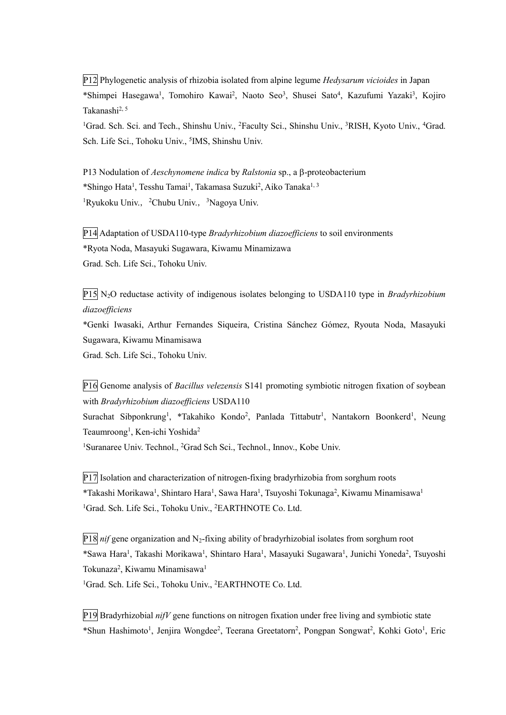P12 Phylogenetic analysis of rhizobia isolated from alpine legume *Hedysarum vicioides* in Japan \*Shimpei Hasegawa<sup>1</sup>, Tomohiro Kawai<sup>2</sup>, Naoto Seo<sup>3</sup>, Shusei Sato<sup>4</sup>, Kazufumi Yazaki<sup>3</sup>, Kojiro Takanashi2, 5

<sup>1</sup>Grad. Sch. Sci. and Tech., Shinshu Univ., <sup>2</sup>Faculty Sci., Shinshu Univ., <sup>3</sup>RISH, Kyoto Univ., <sup>4</sup>Grad. Sch. Life Sci., Tohoku Univ., <sup>5</sup>IMS, Shinshu Univ.

P13 Nodulation of *Aeschynomene indica* by *Ralstonia* sp., a  $\beta$ -proteobacterium \*Shingo Hata<sup>1</sup>, Tesshu Tamai<sup>1</sup>, Takamasa Suzuki<sup>2</sup>, Aiko Tanaka<sup>1, 3</sup> <sup>1</sup>Ryukoku Univ., <sup>2</sup>Chubu Univ., <sup>3</sup>Nagoya Univ.

P14 Adaptation of USDA110-type *Bradyrhizobium diazoefficiens* to soil environments \*Ryota Noda, Masayuki Sugawara, Kiwamu Minamizawa Grad. Sch. Life Sci., Tohoku Univ.

P15 N2O reductase activity of indigenous isolates belonging to USDA110 type in *Bradyrhizobium diazoefficiens*

\*Genki Iwasaki, Arthur Fernandes Siqueira, Cristina Sánchez Gómez, Ryouta Noda, Masayuki Sugawara, Kiwamu Minamisawa

Grad. Sch. Life Sci., Tohoku Univ.

P16 Genome analysis of *Bacillus velezensis* S141 promoting symbiotic nitrogen fixation of soybean with *Bradyrhizobium diazoefficiens* USDA110 Surachat Sibponkrung<sup>1</sup>, \*Takahiko Kondo<sup>2</sup>, Panlada Tittabutr<sup>1</sup>, Nantakorn Boonkerd<sup>1</sup>, Neung Teaumroong<sup>1</sup>, Ken-ichi Yoshida<sup>2</sup> <sup>1</sup>Suranaree Univ. Technol., <sup>2</sup>Grad Sch Sci., Technol., Innov., Kobe Univ.

P17 Isolation and characterization of nitrogen-fixing bradyrhizobia from sorghum roots \*Takashi Morikawa<sup>1</sup>, Shintaro Hara<sup>1</sup>, Sawa Hara<sup>1</sup>, Tsuyoshi Tokunaga<sup>2</sup>, Kiwamu Minamisawa<sup>1</sup> <sup>1</sup>Grad. Sch. Life Sci., Tohoku Univ., <sup>2</sup>EARTHNOTE Co. Ltd.

 $P18$  *nif* gene organization and N<sub>2</sub>-fixing ability of bradyrhizobial isolates from sorghum root \*Sawa Hara<sup>1</sup>, Takashi Morikawa<sup>1</sup>, Shintaro Hara<sup>1</sup>, Masayuki Sugawara<sup>1</sup>, Junichi Yoneda<sup>2</sup>, Tsuyoshi Tokunaza<sup>2</sup>, Kiwamu Minamisawa<sup>1</sup> <sup>1</sup>Grad. Sch. Life Sci., Tohoku Univ., <sup>2</sup>EARTHNOTE Co. Ltd.

P19 Bradyrhizobial *nifV* gene functions on nitrogen fixation under free living and symbiotic state \*Shun Hashimoto<sup>1</sup>, Jenjira Wongdee<sup>2</sup>, Teerana Greetatorn<sup>2</sup>, Pongpan Songwat<sup>2</sup>, Kohki Goto<sup>1</sup>, Eric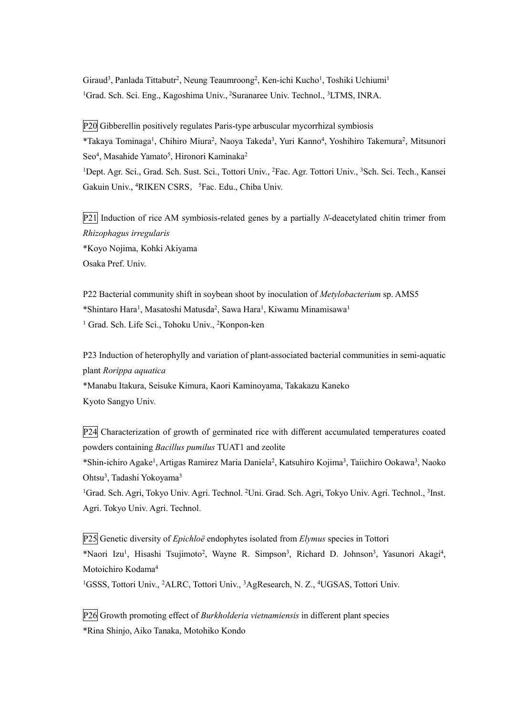Giraud<sup>3</sup>, Panlada Tittabutr<sup>2</sup>, Neung Teaumroong<sup>2</sup>, Ken-ichi Kucho<sup>1</sup>, Toshiki Uchiumi<sup>1</sup> <sup>1</sup>Grad. Sch. Sci. Eng., Kagoshima Univ., <sup>2</sup>Suranaree Univ. Technol., <sup>3</sup>LTMS, INRA.

P20 Gibberellin positively regulates Paris-type arbuscular mycorrhizal symbiosis \*Takaya Tominaga<sup>1</sup>, Chihiro Miura<sup>2</sup>, Naoya Takeda<sup>3</sup>, Yuri Kanno<sup>4</sup>, Yoshihiro Takemura<sup>2</sup>, Mitsunori Seo<sup>4</sup>, Masahide Yamato<sup>5</sup>, Hironori Kaminaka<sup>2</sup> <sup>1</sup>Dept. Agr. Sci., Grad. Sch. Sust. Sci., Tottori Univ., <sup>2</sup>Fac. Agr. Tottori Univ., <sup>3</sup>Sch. Sci. Tech., Kansei Gakuin Univ., <sup>4</sup>RIKEN CSRS, <sup>5</sup>Fac. Edu., Chiba Univ.

P21 Induction of rice AM symbiosis-related genes by a partially *N*-deacetylated chitin trimer from *Rhizophagus irregularis* \*Koyo Nojima, Kohki Akiyama Osaka Pref. Univ.

P22 Bacterial community shift in soybean shoot by inoculation of *Metylobacterium* sp. AMS5 \*Shintaro Hara<sup>1</sup>, Masatoshi Matusda<sup>2</sup>, Sawa Hara<sup>1</sup>, Kiwamu Minamisawa<sup>1</sup> <sup>1</sup> Grad. Sch. Life Sci., Tohoku Univ., <sup>2</sup>Konpon-ken

P23 Induction of heterophylly and variation of plant-associated bacterial communities in semi-aquatic plant *Rorippa aquatica* \*Manabu Itakura, Seisuke Kimura, Kaori Kaminoyama, Takakazu Kaneko Kyoto Sangyo Univ.

P24 Characterization of growth of germinated rice with different accumulated temperatures coated powders containing *Bacillus pumilus* TUAT1 and zeolite \*Shin-ichiro Agake<sup>1</sup>, Artigas Ramirez Maria Daniela<sup>2</sup>, Katsuhiro Kojima<sup>3</sup>, Taiichiro Ookawa<sup>3</sup>, Naoko

Ohtsu<sup>3</sup>, Tadashi Yokoyama<sup>3</sup>

<sup>1</sup>Grad. Sch. Agri, Tokyo Univ. Agri. Technol. <sup>2</sup>Uni. Grad. Sch. Agri, Tokyo Univ. Agri. Technol., <sup>3</sup>Inst. Agri. Tokyo Univ. Agri. Technol.

P25 Genetic diversity of *Epichloë* endophytes isolated from *Elymus* species in Tottori \*Naori Izu<sup>1</sup>, Hisashi Tsujimoto<sup>2</sup>, Wayne R. Simpson<sup>3</sup>, Richard D. Johnson<sup>3</sup>, Yasunori Akagi<sup>4</sup>, Motoichiro Kodama<sup>4</sup>

<sup>1</sup>GSSS, Tottori Univ., <sup>2</sup>ALRC, Tottori Univ., <sup>3</sup>AgResearch, N. Z., <sup>4</sup>UGSAS, Tottori Univ.

P26 Growth promoting effect of *Burkholderia vietnamiensis* in different plant species \*Rina Shinjo, Aiko Tanaka, Motohiko Kondo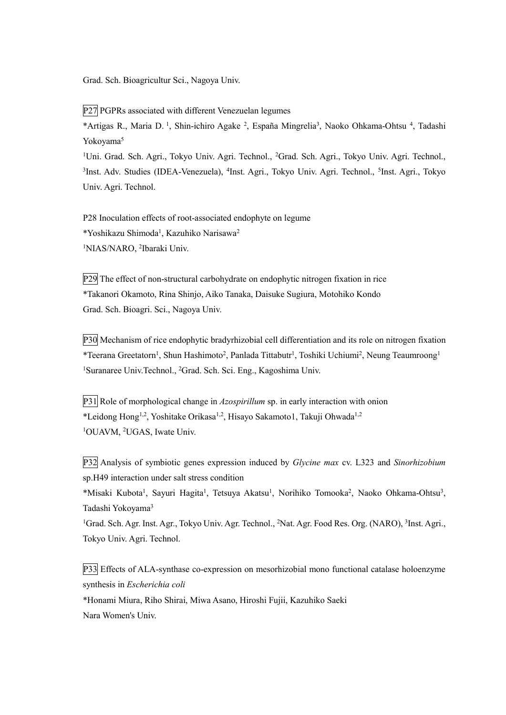Grad. Sch. Bioagricultur Sci., Nagoya Univ.

P27 PGPRs associated with different Venezuelan legumes

\*Artigas R., Maria D.<sup>1</sup>, Shin-ichiro Agake<sup>2</sup>, España Mingrelia<sup>3</sup>, Naoko Ohkama-Ohtsu<sup>4</sup>, Tadashi Yokoyama<sup>5</sup>

<sup>1</sup>Uni. Grad. Sch. Agri., Tokyo Univ. Agri. Technol., <sup>2</sup>Grad. Sch. Agri., Tokyo Univ. Agri. Technol., <sup>3</sup>Inst. Adv. Studies (IDEA-Venezuela), <sup>4</sup>Inst. Agri., Tokyo Univ. Agri. Technol., <sup>5</sup>Inst. Agri., Tokyo Univ. Agri. Technol.

P28 Inoculation effects of root-associated endophyte on legume \*Yoshikazu Shimoda<sup>1</sup>, Kazuhiko Narisawa<sup>2</sup> <sup>1</sup>NIAS/NARO, <sup>2</sup>Ibaraki Univ.

P29 The effect of non-structural carbohydrate on endophytic nitrogen fixation in rice \*Takanori Okamoto, Rina Shinjo, Aiko Tanaka, Daisuke Sugiura, Motohiko Kondo Grad. Sch. Bioagri. Sci., Nagoya Univ.

P30 Mechanism of rice endophytic bradyrhizobial cell differentiation and its role on nitrogen fixation \*Teerana Greetatorn<sup>1</sup>, Shun Hashimoto<sup>2</sup>, Panlada Tittabutr<sup>1</sup>, Toshiki Uchiumi<sup>2</sup>, Neung Teaumroong<sup>1</sup> <sup>1</sup>Suranaree Univ. Technol., <sup>2</sup>Grad. Sch. Sci. Eng., Kagoshima Univ.

P31 Role of morphological change in *Azospirillum* sp. in early interaction with onion \*Leidong Hong1,2, Yoshitake Orikasa1,2, Hisayo Sakamoto1, Takuji Ohwada1,2 <sup>1</sup>OUAVM, <sup>2</sup>UGAS, Iwate Univ.

P32 Analysis of symbiotic genes expression induced by *Glycine max* cv. L323 and *Sinorhizobium* sp.H49 interaction under salt stress condition

\*Misaki Kubota<sup>1</sup>, Sayuri Hagita<sup>1</sup>, Tetsuya Akatsu<sup>1</sup>, Norihiko Tomooka<sup>2</sup>, Naoko Ohkama-Ohtsu<sup>3</sup>, Tadashi Yokoyama<sup>3</sup>

<sup>1</sup>Grad. Sch. Agr. Inst. Agr., Tokyo Univ. Agr. Technol., <sup>2</sup>Nat. Agr. Food Res. Org. (NARO), <sup>3</sup>Inst. Agri., Tokyo Univ. Agri. Technol.

P33 Effects of ALA-synthase co-expression on mesorhizobial mono functional catalase holoenzyme synthesis in *Escherichia coli*

\*Honami Miura, Riho Shirai, Miwa Asano, Hiroshi Fujii, Kazuhiko Saeki Nara Women's Univ.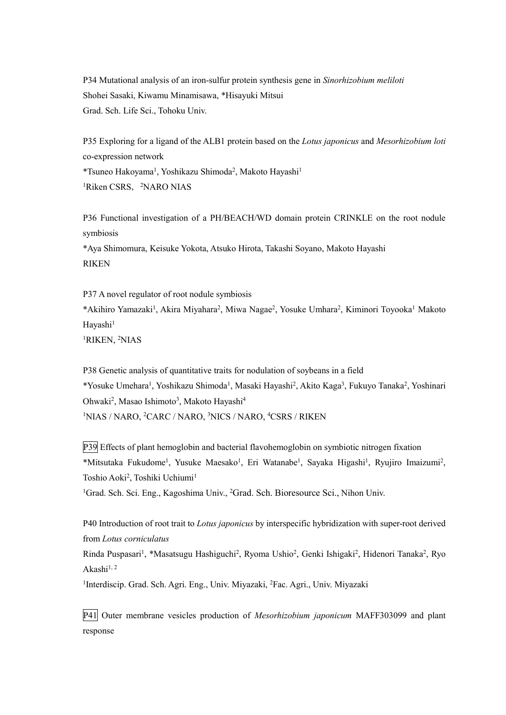P34 Mutational analysis of an iron-sulfur protein synthesis gene in *Sinorhizobium meliloti* Shohei Sasaki, Kiwamu Minamisawa, \*Hisayuki Mitsui Grad. Sch. Life Sci., Tohoku Univ.

P35 Exploring for a ligand of the ALB1 protein based on the *Lotus japonicus* and *Mesorhizobium loti* co-expression network \*Tsuneo Hakoyama<sup>1</sup>, Yoshikazu Shimoda<sup>2</sup>, Makoto Hayashi<sup>1</sup> <sup>1</sup>Riken CSRS, <sup>2</sup>NARO NIAS

P36 Functional investigation of a PH/BEACH/WD domain protein CRINKLE on the root nodule symbiosis \*Aya Shimomura, Keisuke Yokota, Atsuko Hirota, Takashi Soyano, Makoto Hayashi

RIKEN

P37 A novel regulator of root nodule symbiosis \*Akihiro Yamazaki<sup>1</sup>, Akira Miyahara<sup>2</sup>, Miwa Nagae<sup>2</sup>, Yosuke Umhara<sup>2</sup>, Kiminori Toyooka<sup>1</sup> Makoto Hayashi<sup>1</sup> <sup>1</sup>RIKEN, <sup>2</sup>NIAS

P38 Genetic analysis of quantitative traits for nodulation of soybeans in a field \*Yosuke Umehara<sup>1</sup>, Yoshikazu Shimoda<sup>1</sup>, Masaki Hayashi<sup>2</sup>, Akito Kaga<sup>3</sup>, Fukuyo Tanaka<sup>2</sup>, Yoshinari Ohwaki<sup>2</sup>, Masao Ishimoto<sup>3</sup>, Makoto Hayashi<sup>4</sup> <sup>1</sup>NIAS / NARO, <sup>2</sup>CARC / NARO, <sup>3</sup>NICS / NARO, <sup>4</sup>CSRS / RIKEN

P39 Effects of plant hemoglobin and bacterial flavohemoglobin on symbiotic nitrogen fixation \*Mitsutaka Fukudome<sup>1</sup>, Yusuke Maesako<sup>1</sup>, Eri Watanabe<sup>1</sup>, Sayaka Higashi<sup>1</sup>, Ryujiro Imaizumi<sup>2</sup>, Toshio Aoki<sup>2</sup>, Toshiki Uchiumi<sup>1</sup>

<sup>1</sup>Grad. Sch. Sci. Eng., Kagoshima Univ., <sup>2</sup>Grad. Sch. Bioresource Sci., Nihon Univ.

P40 Introduction of root trait to *Lotus japonicus* by interspecific hybridization with super-root derived from *Lotus corniculatus*

Rinda Puspasari<sup>1</sup>, \*Masatsugu Hashiguchi<sup>2</sup>, Ryoma Ushio<sup>2</sup>, Genki Ishigaki<sup>2</sup>, Hidenori Tanaka<sup>2</sup>, Ryo Akashi $1, 2$ 

<sup>1</sup>Interdiscip. Grad. Sch. Agri. Eng., Univ. Miyazaki, <sup>2</sup>Fac. Agri., Univ. Miyazaki

P41 Outer membrane vesicles production of *Mesorhizobium japonicum* MAFF303099 and plant response